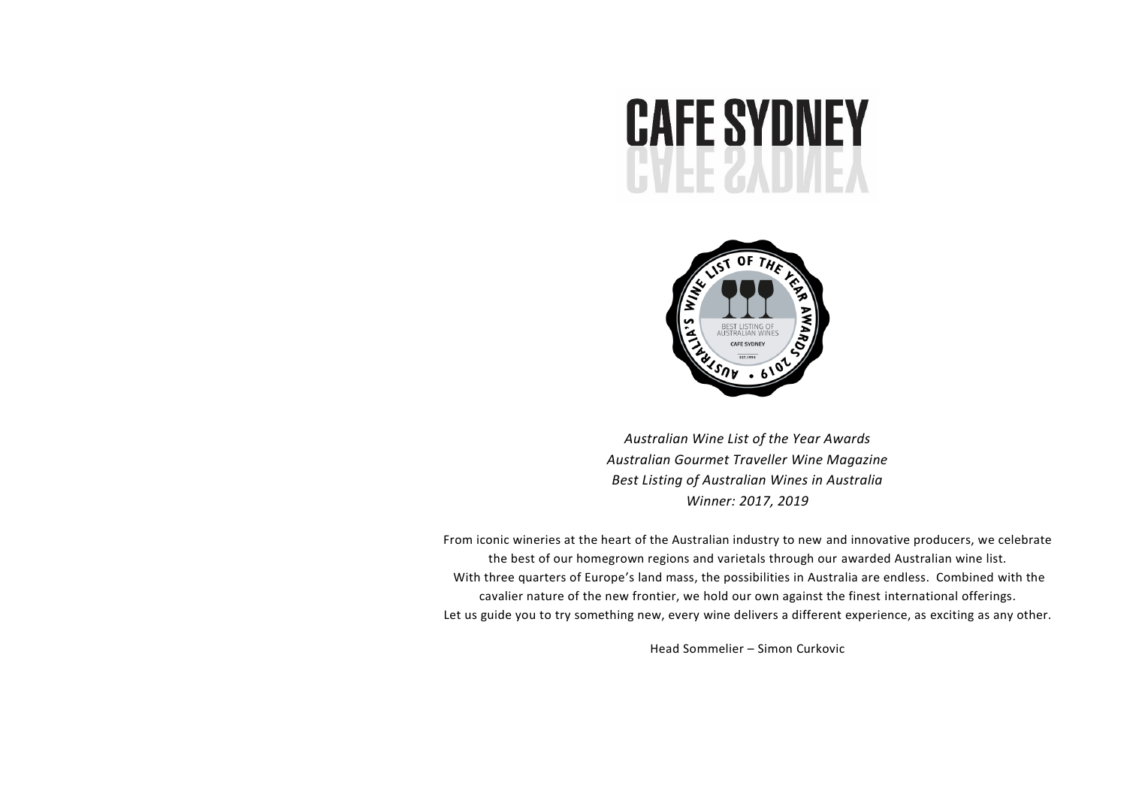



*Australian Wine List of the Year Awards Australian Gourmet Traveller Wine Magazine Best Listing of Australian Wines in Australia Winner: 2017, 2019*

From iconic wineries at the heart of the Australian industry to new and innovative producers, we celebrate the best of our homegrown regions and varietals through our awarded Australian wine list. With three quarters of Europe's land mass, the possibilities in Australia are endless. Combined with the cavalier nature of the new frontier, we hold our own against the finest international offerings. Let us guide you to try something new, every wine delivers a different experience, as exciting as any other.

Head Sommelier – Simon Curkovic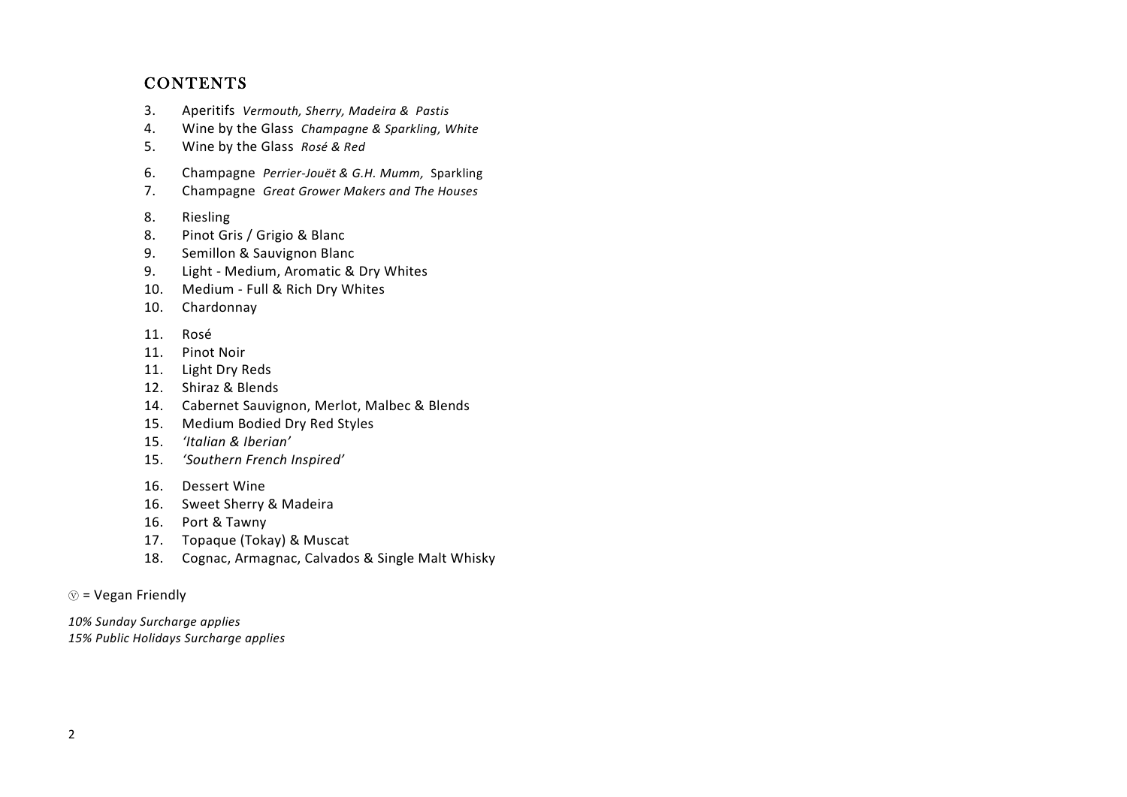## **CONTENTS**

- 3. Aperitifs *Vermouth, Sherry, Madeira & Pastis*
- 4. Wine by the Glass *Champagne & Sparkling, White*
- 5. Wine by the Glass *Rosé & Red*
- 6. Champagne *Perrier-Jouët & G.H. Mumm,* Sparkling
- 7. Champagne *Great Grower Makers and The Houses*
- 8. Riesling
- 8. Pinot Gris / Grigio & Blanc
- 9. Semillon & Sauvignon Blanc
- 9. Light Medium, Aromatic & Dry Whites
- 10. Medium Full & Rich Dry Whites
- 10. Chardonnay
- 11. Rosé
- 11. Pinot Noir
- 11. Light Dry Reds
- 12. Shiraz & Blends
- 14. Cabernet Sauvignon, Merlot, Malbec & Blends
- 15. Medium Bodied Dry Red Styles
- 15. *'Italian & Iberian'*
- 15. *'Southern French Inspired'*
- 16. Dessert Wine
- 16. Sweet Sherry & Madeira
- 16. Port & Tawny
- 17. Topaque (Tokay) & Muscat
- 18. Cognac, Armagnac, Calvados & Single Malt Whisky

 $\circledcirc$  = Vegan Friendly

*10% Sunday Surcharge applies 15% Public Holidays Surcharge applies*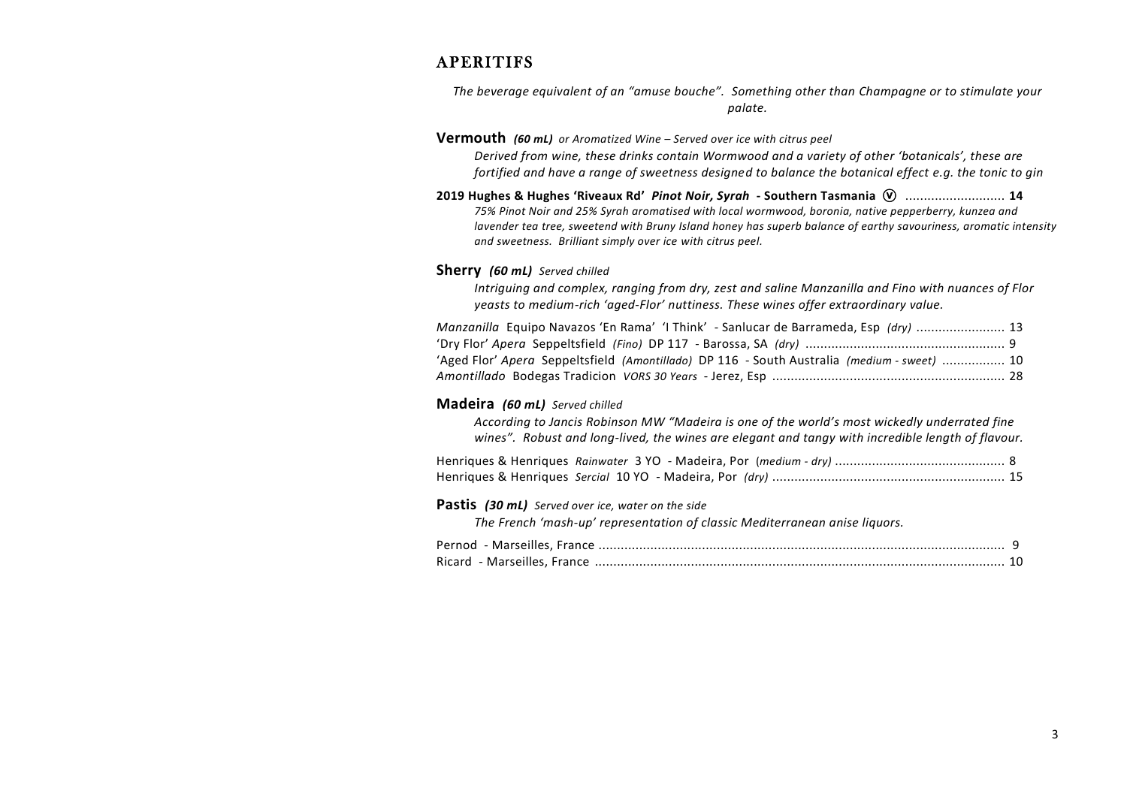## **APERITIFS**

*The beverage equivalent of an "amuse bouche". Something other than Champagne or to stimulate your palate.*

### **Vermouth** *(60 mL) or Aromatized Wine – Served over ice with citrus peel*

*Derived from wine, these drinks contain Wormwood and a variety of other 'botanicals', these are fortified and have a range of sweetness designed to balance the botanical effect e.g. the tonic to gin*

**2019 Hughes & Hughes 'Riveaux Rd'** *Pinot Noir, Syrah* **- Southern Tasmania** ⓥ ........................... **14** *75% Pinot Noir and 25% Syrah aromatised with local wormwood, boronia, native pepperberry, kunzea and lavender tea tree, sweetend with Bruny Island honey has superb balance of earthy savouriness, aromatic intensity and sweetness. Brilliant simply over ice with citrus peel.* 

### **Sherry** *(60 mL) Served chilled*

*Intriguing and complex, ranging from dry, zest and saline Manzanilla and Fino with nuances of Flor yeasts to medium-rich 'aged-Flor' nuttiness. These wines offer extraordinary value.*

| Manzanilla Equipo Navazos 'En Rama' 'I Think' - Sanlucar de Barrameda, Esp (dry)  13       |  |
|--------------------------------------------------------------------------------------------|--|
|                                                                                            |  |
| Aged Flor' Apera Seppeltsfield (Amontillado) DP 116 - South Australia (medium - sweet)  10 |  |
|                                                                                            |  |

### **Madeira** *(60 mL) Served chilled*

*According to Jancis Robinson MW "Madeira is one of the world's most wickedly underrated fine wines". Robust and long-lived, the wines are elegant and tangy with incredible length of flavour.* 

#### **Pastis** *(30 mL) Served over ice, water on the side*

*The French 'mash-up' representation of classic Mediterranean anise liquors.*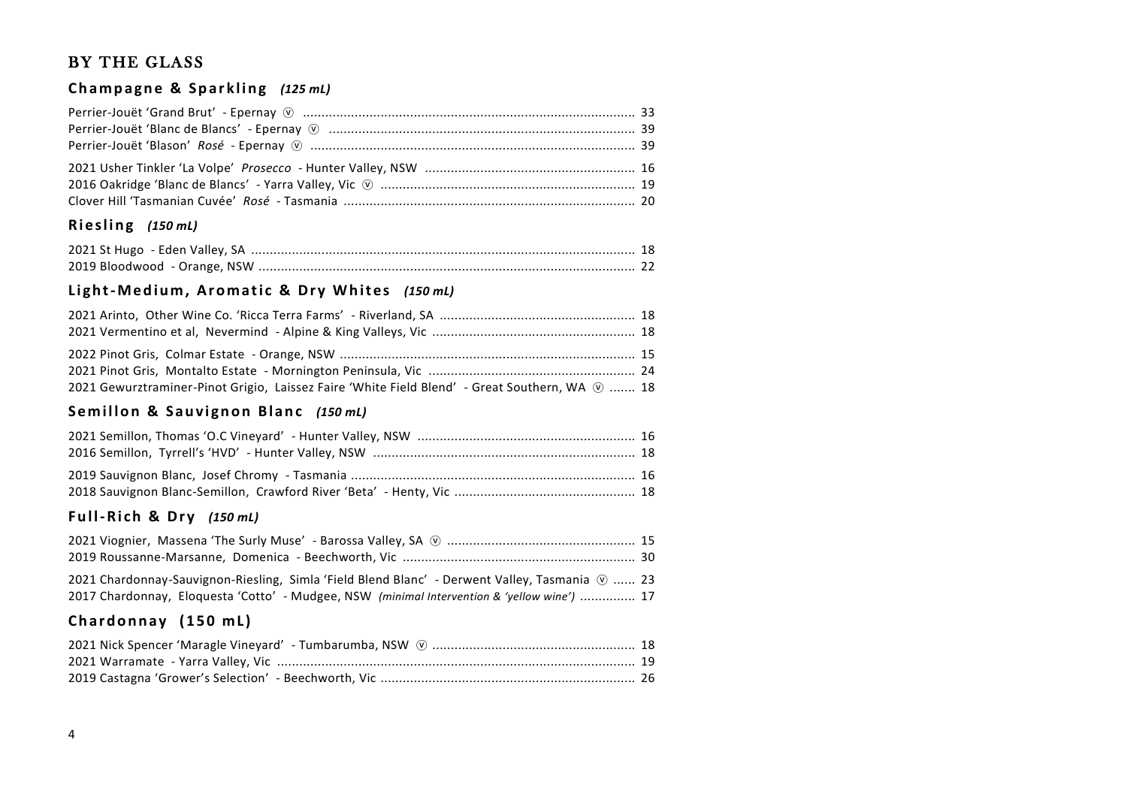## BY THE GLASS

## Champagne & Sparkling (125 mL)

## **R i e s l i n g** *(150 mL)*

## Light-Medium, Aromatic & Dry Whites (150 mL)

| 2021 Gewurztraminer-Pinot Grigio, Laissez Faire 'White Field Blend' - Great Southern, WA $\omega$ 18 |  |
|------------------------------------------------------------------------------------------------------|--|

## Semillon & Sauvignon Blanc (150 mL)

### **F u l l-R i ch & D r y** *(150 mL)*

| 2021 Chardonnay-Sauvignon-Riesling, Simla 'Field Blend Blanc' - Derwent Valley, Tasmania $\mathcal{D}$ 23 |  |
|-----------------------------------------------------------------------------------------------------------|--|
| 2017 Chardonnay, Eloquesta 'Cotto' - Mudgee, NSW (minimal Intervention & 'yellow wine')  17               |  |

### **Chardonnay (150 mL)**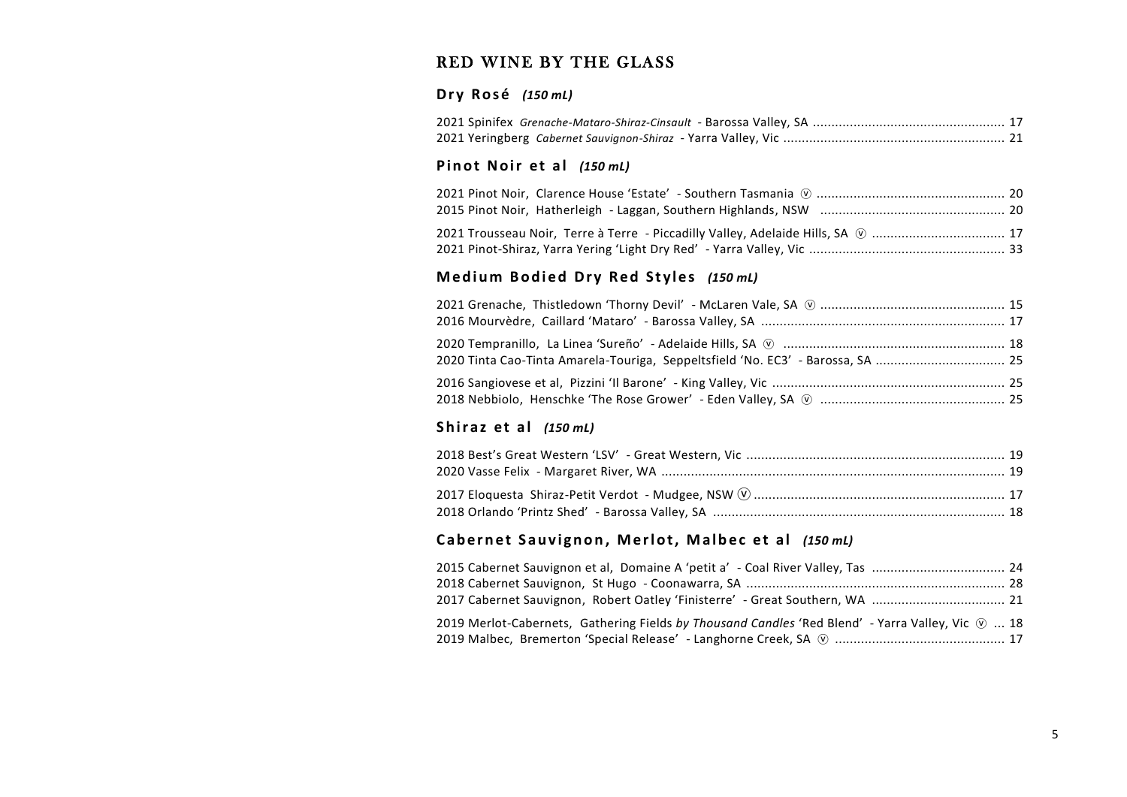## RED WINE BY THE GLASS

### **D r y R o s é** *(150 mL)*

### **Pinot Noir et al (150 mL)**

| 2021 Trousseau Noir, Terre à Terre - Piccadilly Valley, Adelaide Hills, SA (2)  17 |  |
|------------------------------------------------------------------------------------|--|
|                                                                                    |  |

### **Medium Bodied Dry Red Styles** (150 mL)

| 2020 Tinta Cao-Tinta Amarela-Touriga, Seppeltsfield 'No. EC3' - Barossa, SA  25 |  |
|---------------------------------------------------------------------------------|--|
|                                                                                 |  |

### **Shiraz et al (150 mL)**

## Cabernet Sauvignon, Merlot, Malbec et al (150 mL)

| 2019 Merlot-Cabernets, Gathering Fields by Thousand Candles 'Red Blend' - Yarra Valley, Vic $\varnothing$ 18 |  |
|--------------------------------------------------------------------------------------------------------------|--|
|                                                                                                              |  |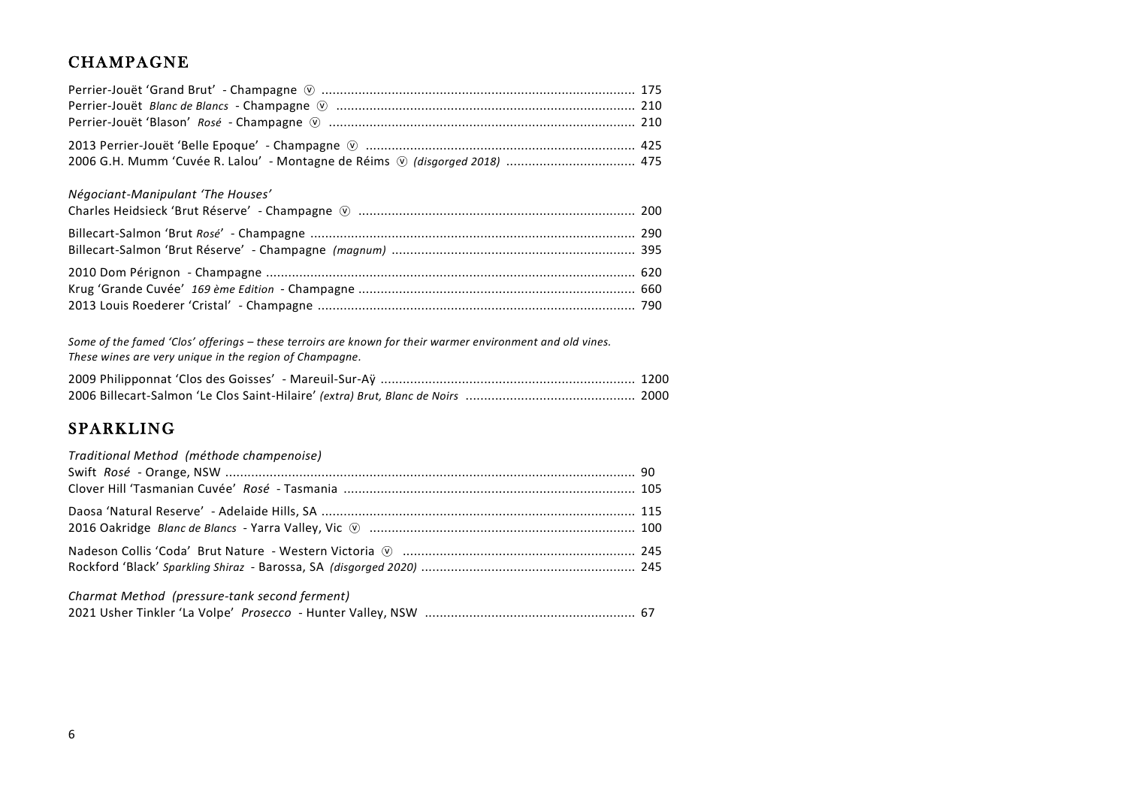## **CHAMPAGNE**

| 2006 G.H. Mumm 'Cuvée R. Lalou' - Montagne de Réims $\circledcirc$ (disgorged 2018)  475 |  |
|------------------------------------------------------------------------------------------|--|

### *Négociant-Manipulant 'The Houses'*

*Some of the famed 'Clos' offerings – these terroirs are known for their warmer environment and old vines. These wines are very unique in the region of Champagne.*

## SPARKLING

| Traditional Method (méthode champenoise)      |  |
|-----------------------------------------------|--|
|                                               |  |
|                                               |  |
|                                               |  |
| Charmat Method (pressure-tank second ferment) |  |

2021 Usher Tinkler 'La Volpe' *Prosecco* - Hunter Valley, NSW ......................................................... 67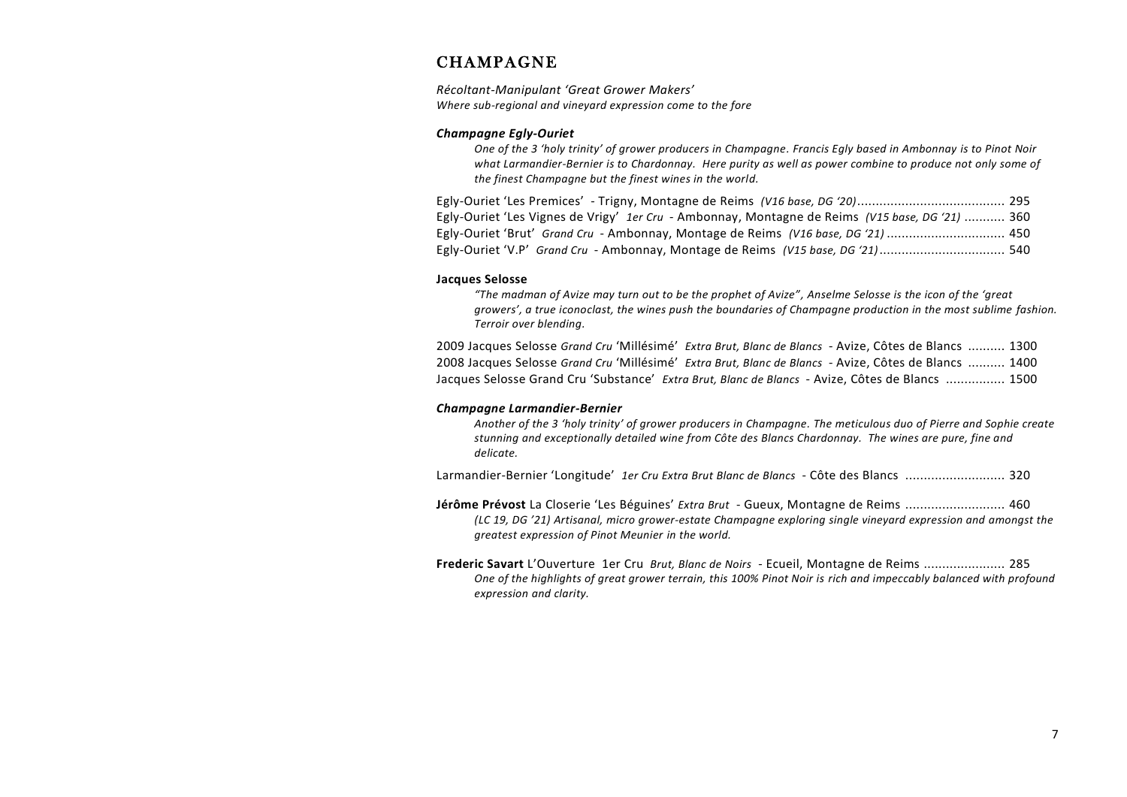## **CHAMPAGNE**

*Récoltant-Manipulant 'Great Grower Makers' Where sub-regional and vineyard expression come to the fore*

#### *Champagne Egly-Ouriet*

*One of the 3 'holy trinity' of grower producers in Champagne. Francis Egly based in Ambonnay is to Pinot Noir what Larmandier-Bernier is to Chardonnay. Here purity as well as power combine to produce not only some of the finest Champagne but the finest wines in the world.*

| Egly-Ouriet 'Les Vignes de Vrigy' 1er Cru - Ambonnay, Montagne de Reims (V15 base, DG '21)  360 |  |
|-------------------------------------------------------------------------------------------------|--|
| Egly-Ouriet 'Brut' Grand Cru - Ambonnay, Montage de Reims (V16 base, DG '21)  450               |  |
| Egly-Ouriet 'V.P' Grand Cru - Ambonnay, Montage de Reims (V15 base, DG '21) 540                 |  |

#### **Jacques Selosse**

*"The madman of Avize may turn out to be the prophet of Avize", Anselme Selosse is the icon of the 'great growers', a true iconoclast, the wines push the boundaries of Champagne production in the most sublime fashion. Terroir over blending.*

2009 Jacques Selosse *Grand Cru* 'Millésimé' *Extra Brut, Blanc de Blancs* - Avize, Côtes de Blancs .......... 1300 2008 Jacques Selosse *Grand Cru* 'Millésimé' *Extra Brut, Blanc de Blancs* - Avize, Côtes de Blancs .......... 1400 Jacques Selosse Grand Cru 'Substance' *Extra Brut, Blanc de Blancs* - Avize, Côtes de Blancs ................ 1500

#### *Champagne Larmandier-Bernier*

*Another of the 3 'holy trinity' of grower producers in Champagne. The meticulous duo of Pierre and Sophie create stunning and exceptionally detailed wine from Côte des Blancs Chardonnay. The wines are pure, fine and delicate.*

Larmandier-Bernier 'Longitude' *1er Cru Extra Brut Blanc de Blancs* - Côte des Blancs ........................... 320

**Jérôme Prévost** La Closerie 'Les Béguines' *Extra Brut* - Gueux, Montagne de Reims ........................... 460 *(LC 19, DG '21) Artisanal, micro grower-estate Champagne exploring single vineyard expression and amongst the greatest expression of Pinot Meunier in the world.*

**Frederic Savart** L'Ouverture 1er Cru *Brut, Blanc de Noirs* - Ecueil, Montagne de Reims ...................... 285 *One of the highlights of great grower terrain, this 100% Pinot Noir is rich and impeccably balanced with profound expression and clarity.*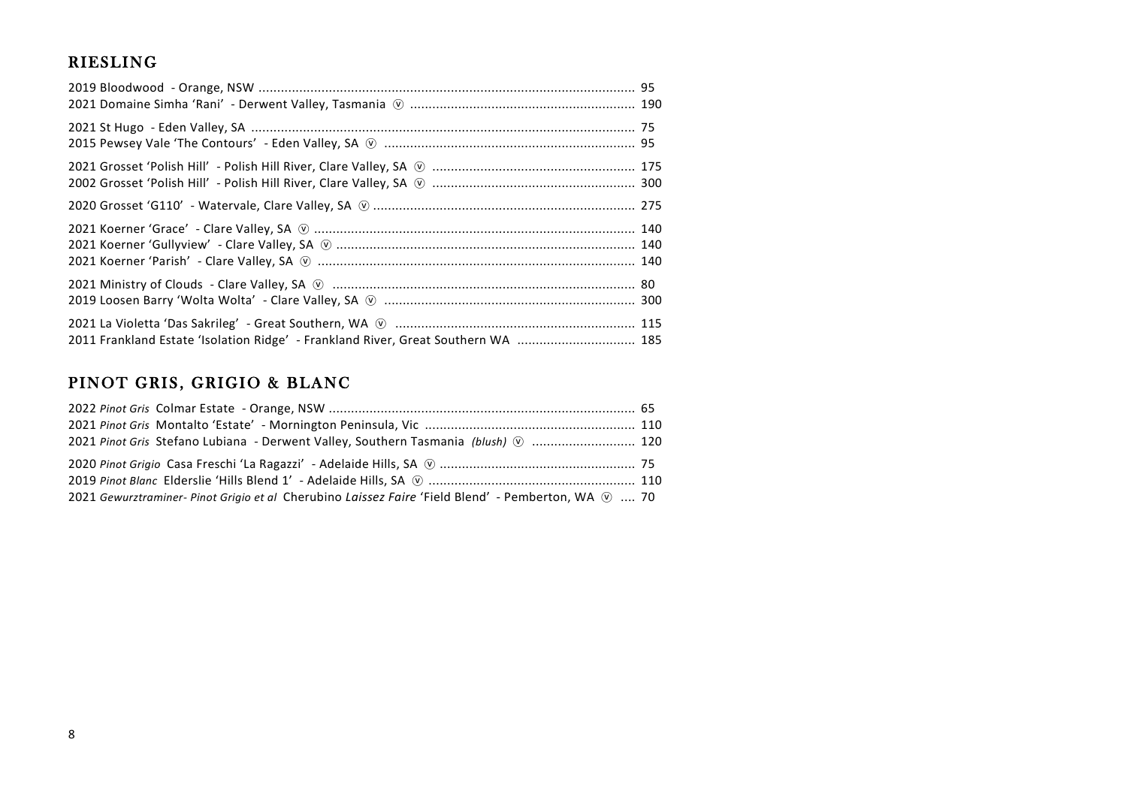# **RIESLING**

| 2011 Frankland Estate 'Isolation Ridge' - Frankland River, Great Southern WA  185 |  |
|-----------------------------------------------------------------------------------|--|

# PINOT GRIS, GRIGIO & BLANC

| 2021 Pinot Gris Stefano Lubiana - Derwent Valley, Southern Tasmania (blush) (  120                             |  |
|----------------------------------------------------------------------------------------------------------------|--|
|                                                                                                                |  |
|                                                                                                                |  |
| 2021 Gewurztraminer- Pinot Grigio et al Cherubino Laissez Faire 'Field Blend' - Pemberton, WA $\varnothing$ 70 |  |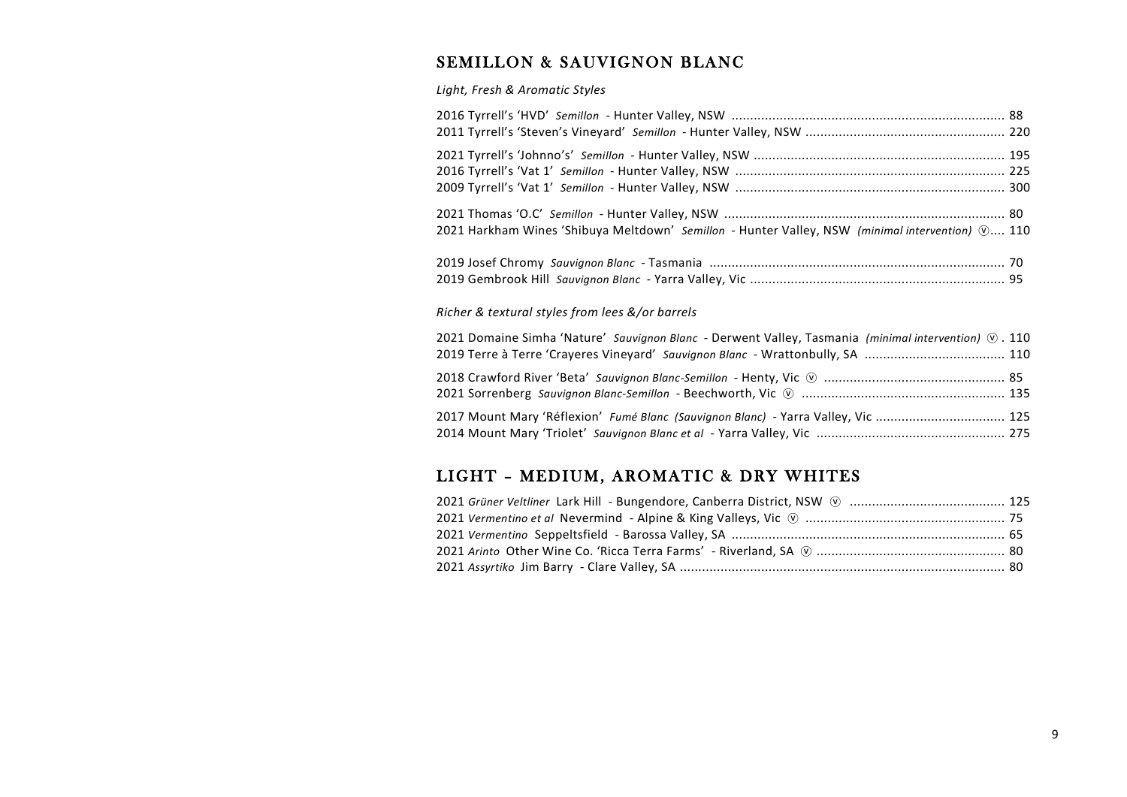# SEMILLON & SAUVIGNON BLANC

*Light, Fresh & Aromatic Styles*

| 2021 Harkham Wines 'Shibuya Meltdown' Semillon - Hunter Valley, NSW (minimal intervention) $\mathcal{D}$ 110 |  |
|--------------------------------------------------------------------------------------------------------------|--|
|                                                                                                              |  |
|                                                                                                              |  |
| Dishon Q toutunal studes from loos Q lon bounds                                                              |  |

### *Richer & textural styles from lees &/or barrels*

| 2021 Domaine Simha 'Nature' Sauvignon Blanc - Derwent Valley, Tasmania (minimal intervention) $\circledR$ . 110 |  |
|-----------------------------------------------------------------------------------------------------------------|--|
|                                                                                                                 |  |
| 2017 Mount Mary 'Réflexion' Fumé Blanc (Sauvignon Blanc) - Yarra Valley, Vic  125                               |  |
|                                                                                                                 |  |

# LIGHT - MEDIUM, AROMATIC & DRY WHITES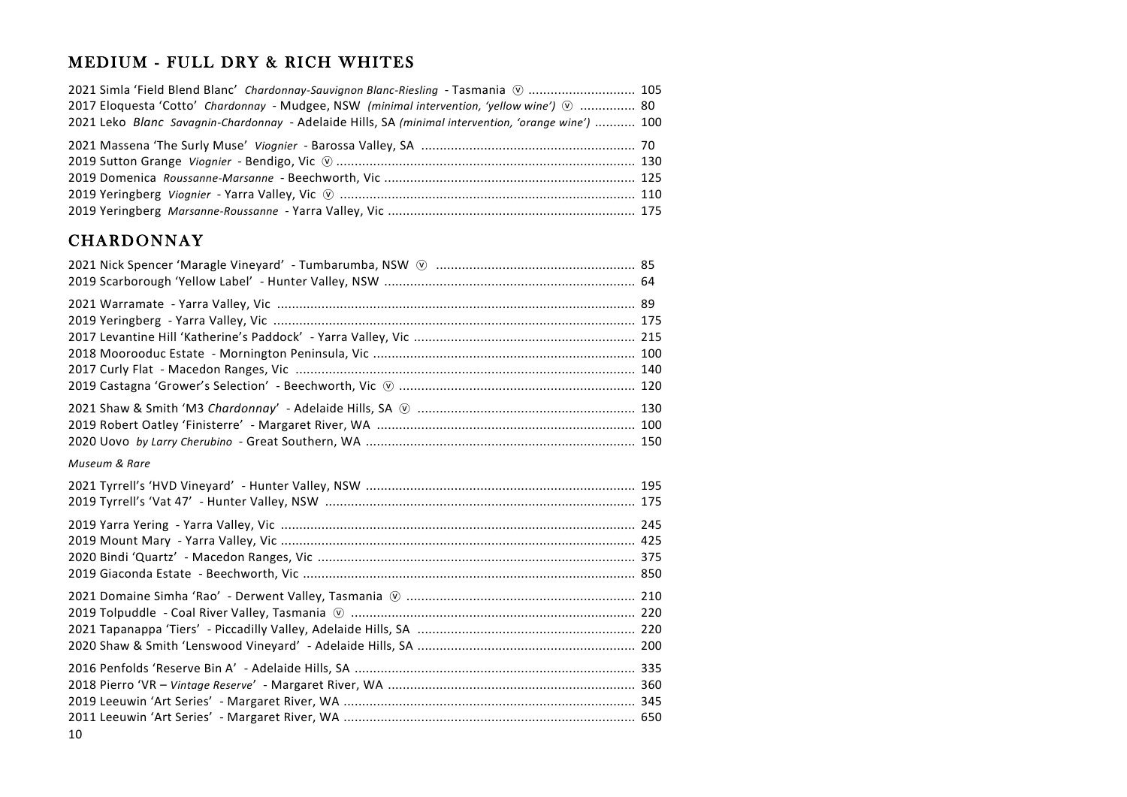# MEDIUM - FULL DRY & RICH WHITES

| 2021 Simla 'Field Blend Blanc' Chardonnay-Sauvignon Blanc-Riesling - Tasmania (0)  105              |  |
|-----------------------------------------------------------------------------------------------------|--|
| 2017 Eloquesta 'Cotto' Chardonnay - Mudgee, NSW (minimal intervention, 'yellow wine') $\odot$ 80    |  |
| 2021 Leko Blanc Savagnin-Chardonnay - Adelaide Hills, SA (minimal intervention, 'orange wine')  100 |  |
|                                                                                                     |  |
|                                                                                                     |  |
|                                                                                                     |  |
|                                                                                                     |  |
|                                                                                                     |  |

## **CHARDONNAY**

| Museum & Rare |  |
|---------------|--|
|               |  |
|               |  |
|               |  |
|               |  |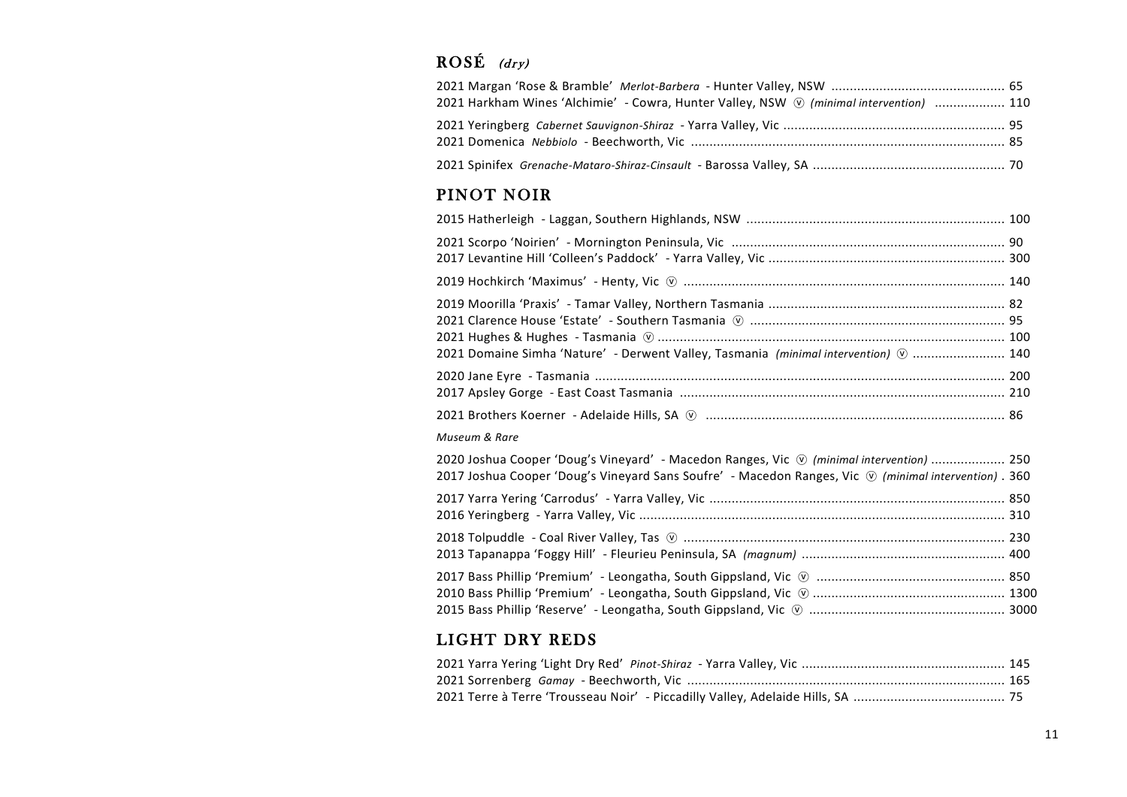# $ROSÉ$  (dry)

| 2021 Harkham Wines 'Alchimie' - Cowra, Hunter Valley, NSW $\circledR$ (minimal intervention)  110 |  |
|---------------------------------------------------------------------------------------------------|--|
|                                                                                                   |  |
|                                                                                                   |  |

# PINOT NOIR

| 2021 Domaine Simha 'Nature' - Derwent Valley, Tasmania (minimal intervention) $\odot$ 140                                                                                                                                 |  |
|---------------------------------------------------------------------------------------------------------------------------------------------------------------------------------------------------------------------------|--|
|                                                                                                                                                                                                                           |  |
|                                                                                                                                                                                                                           |  |
| Museum & Rare                                                                                                                                                                                                             |  |
| 2020 Joshua Cooper 'Doug's Vineyard' - Macedon Ranges, Vic $\circledcirc$ (minimal intervention)  250<br>2017 Joshua Cooper 'Doug's Vineyard Sans Soufre' - Macedon Ranges, Vic $\heartsuit$ (minimal intervention) . 360 |  |
|                                                                                                                                                                                                                           |  |
|                                                                                                                                                                                                                           |  |
|                                                                                                                                                                                                                           |  |

# LIGHT DRY REDS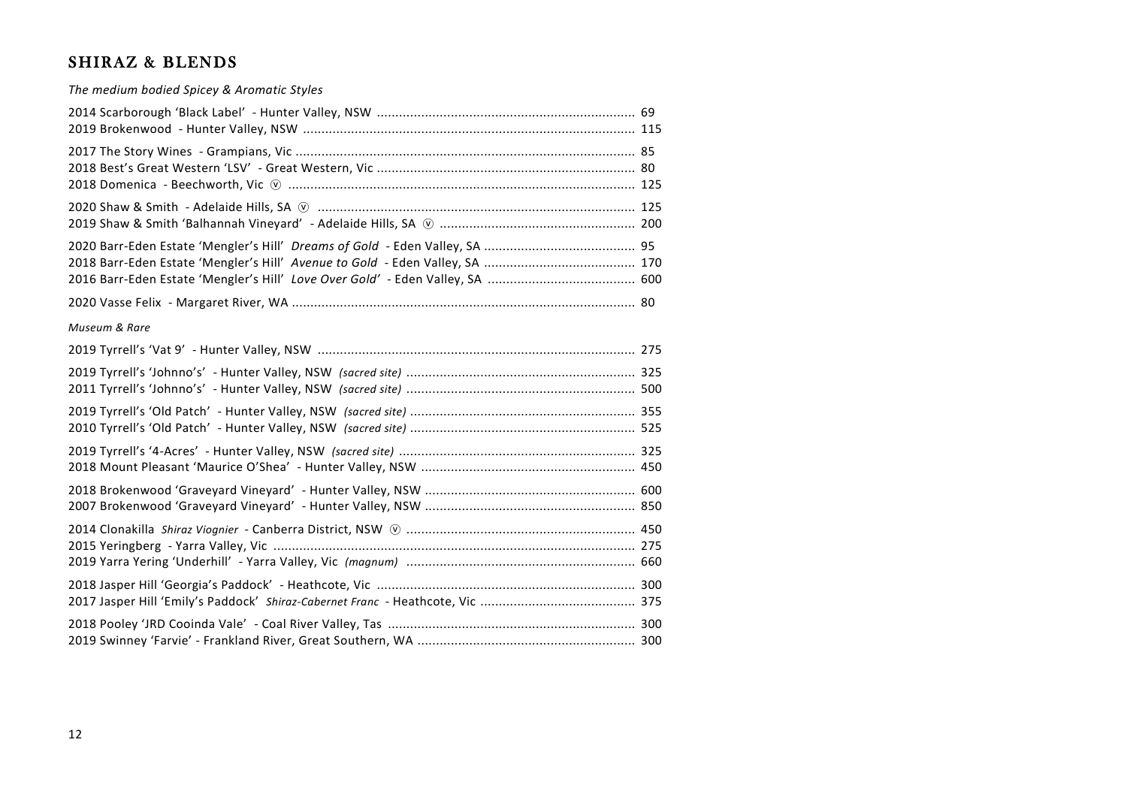## SHIRAZ & BLENDS

*The medium bodied Spicey & Aromatic Styles* 2014 Scarborough 'Black Label' - Hunter Valley, NSW ...................................................................... 69 2019 Brokenwood - Hunter Valley, NSW .......................................................................................... 115 2017 The Story Wines - Grampians, Vic ............................................................................................ 85 2018 Best's Great Western 'LSV' - Great Western, Vic ...................................................................... 80 2018 Domenica - Beechworth, Vic ⓥ .............................................................................................. 125 2020 Shaw & Smith - Adelaide Hills, SA ⓥ ...................................................................................... 125 2019 Shaw & Smith 'Balhannah Vineyard' - Adelaide Hills, SA ⓥ ..................................................... 200 2020 Barr-Eden Estate 'Mengler's Hill' *Dreams of Gold* - Eden Valley, SA ......................................... 95 2018 Barr-Eden Estate 'Mengler's Hill' *Avenue to Gold* - Eden Valley, SA ......................................... 170 2016 Barr-Eden Estate 'Mengler's Hill' *Love Over Gold'* - Eden Valley, SA ........................................ 600 2020 Vasse Felix - Margaret River, WA ............................................................................................. 80 *Museum & Rare* 2019 Tyrrell's 'Vat 9' - Hunter Valley, NSW ...................................................................................... 275 2019 Tyrrell's 'Johnno's' - Hunter Valley, NSW *(sacred site)* .............................................................. 325 2011 Tyrrell's 'Johnno's' - Hunter Valley, NSW *(sacred site)* .............................................................. 500 2019 Tyrrell's 'Old Patch' - Hunter Valley, NSW *(sacred site)* ............................................................. 355 2010 Tyrrell's 'Old Patch' - Hunter Valley, NSW *(sacred site)* ............................................................. 525 2019 Tyrrell's '4-Acres' - Hunter Valley, NSW *(sacred site)* ................................................................ 325 2018 Mount Pleasant 'Maurice O'Shea' - Hunter Valley, NSW .......................................................... 450 2018 Brokenwood 'Graveyard Vineyard' - Hunter Valley, NSW ......................................................... 600 2007 Brokenwood 'Graveyard Vineyard' - Hunter Valley, NSW ......................................................... 850 2014 Clonakilla *Shiraz Viognier* - Canberra District, NSW ⓥ .............................................................. 450 2015 Yeringberg - Yarra Valley, Vic .................................................................................................. 275 2019 Yarra Yering 'Underhill' - Yarra Valley, Vic *(magnum)* .............................................................. 660 2018 Jasper Hill 'Georgia's Paddock' - Heathcote, Vic ...................................................................... 300 2017 Jasper Hill 'Emily's Paddock' *Shiraz-Cabernet Franc* - Heathcote, Vic .......................................... 375 2018 Pooley 'JRD Cooinda Vale' - Coal River Valley, Tas ................................................................... 300 2019 Swinney 'Farvie' - Frankland River, Great Southern, WA ........................................................... 300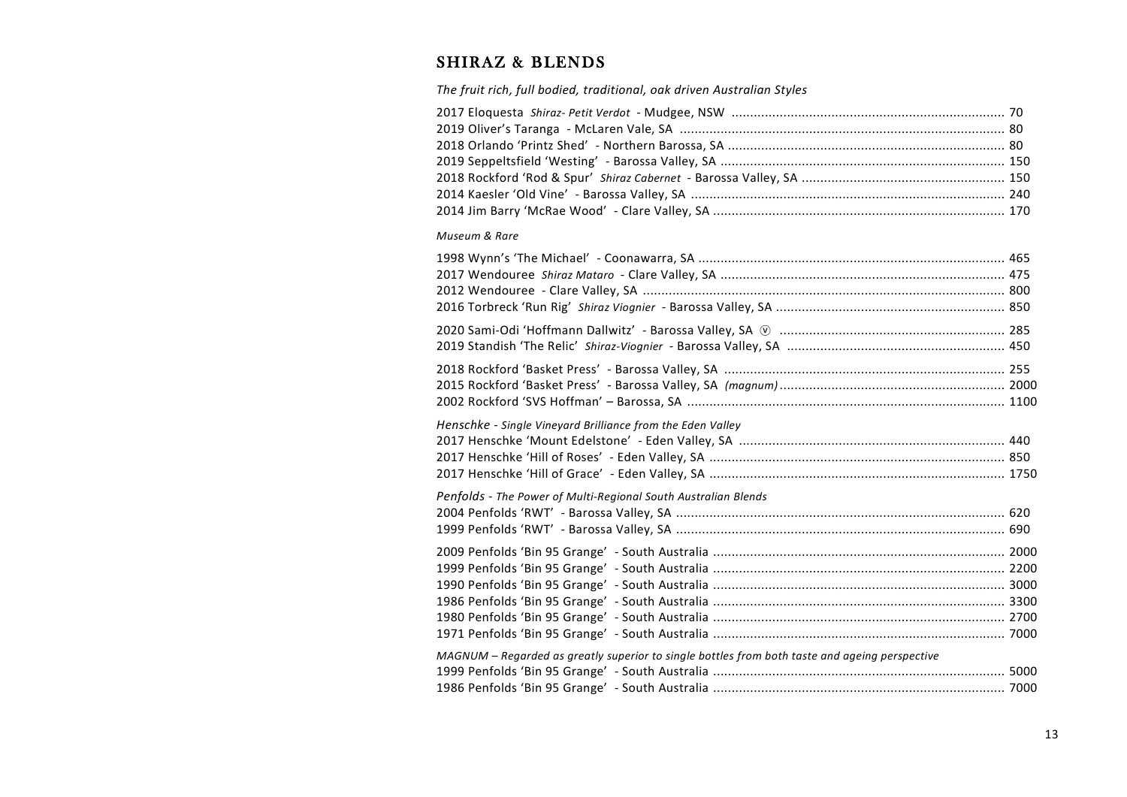# SHIRAZ & BLENDS

*The fruit rich, full bodied, traditional, oak driven Australian Styles*

### *Museum & Rare*

| Henschke - Single Vineyard Brilliance from the Eden Valley                                     |  |
|------------------------------------------------------------------------------------------------|--|
|                                                                                                |  |
|                                                                                                |  |
|                                                                                                |  |
|                                                                                                |  |
| Penfolds - The Power of Multi-Regional South Australian Blends                                 |  |
|                                                                                                |  |
|                                                                                                |  |
|                                                                                                |  |
|                                                                                                |  |
|                                                                                                |  |
|                                                                                                |  |
|                                                                                                |  |
|                                                                                                |  |
| MAGNUM - Regarded as greatly superior to single bottles from both taste and ageing perspective |  |
|                                                                                                |  |
|                                                                                                |  |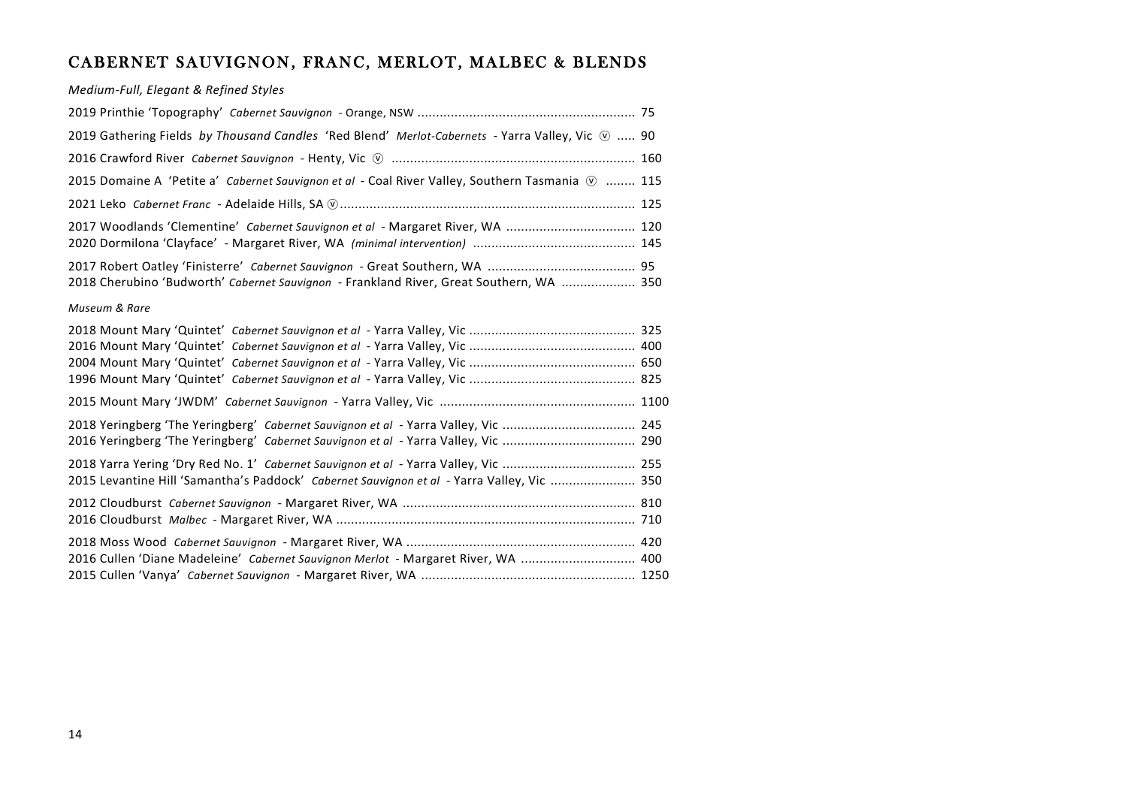# CABERNET SAUVIGNON, FRANC, MERLOT, MALBEC & BLENDS

*Medium-Full, Elegant & Refined Styles*

| 2019 Gathering Fields by Thousand Candles 'Red Blend' Merlot-Cabernets - Yarra Valley, Vic $\mathcal{D}$ 90 |  |
|-------------------------------------------------------------------------------------------------------------|--|
|                                                                                                             |  |
| 2015 Domaine A 'Petite a' Cabernet Sauvignon et al - Coal River Valley, Southern Tasmania $\circledR$ 115   |  |
|                                                                                                             |  |
| 2017 Woodlands 'Clementine' Cabernet Sauvignon et al - Margaret River, WA  120                              |  |
|                                                                                                             |  |
| 2018 Cherubino 'Budworth' Cabernet Sauvignon - Frankland River, Great Southern, WA  350                     |  |

### *Museum & Rare*

| 2016 Yeringberg 'The Yeringberg' Cabernet Sauvignon et al - Yarra Valley, Vic  290         |  |
|--------------------------------------------------------------------------------------------|--|
|                                                                                            |  |
| 2015 Levantine Hill 'Samantha's Paddock' Cabernet Sauvignon et al - Yarra Valley, Vic  350 |  |
|                                                                                            |  |
|                                                                                            |  |
|                                                                                            |  |
| 2016 Cullen 'Diane Madeleine' Cabernet Sauvignon Merlot - Margaret River, WA  400          |  |
|                                                                                            |  |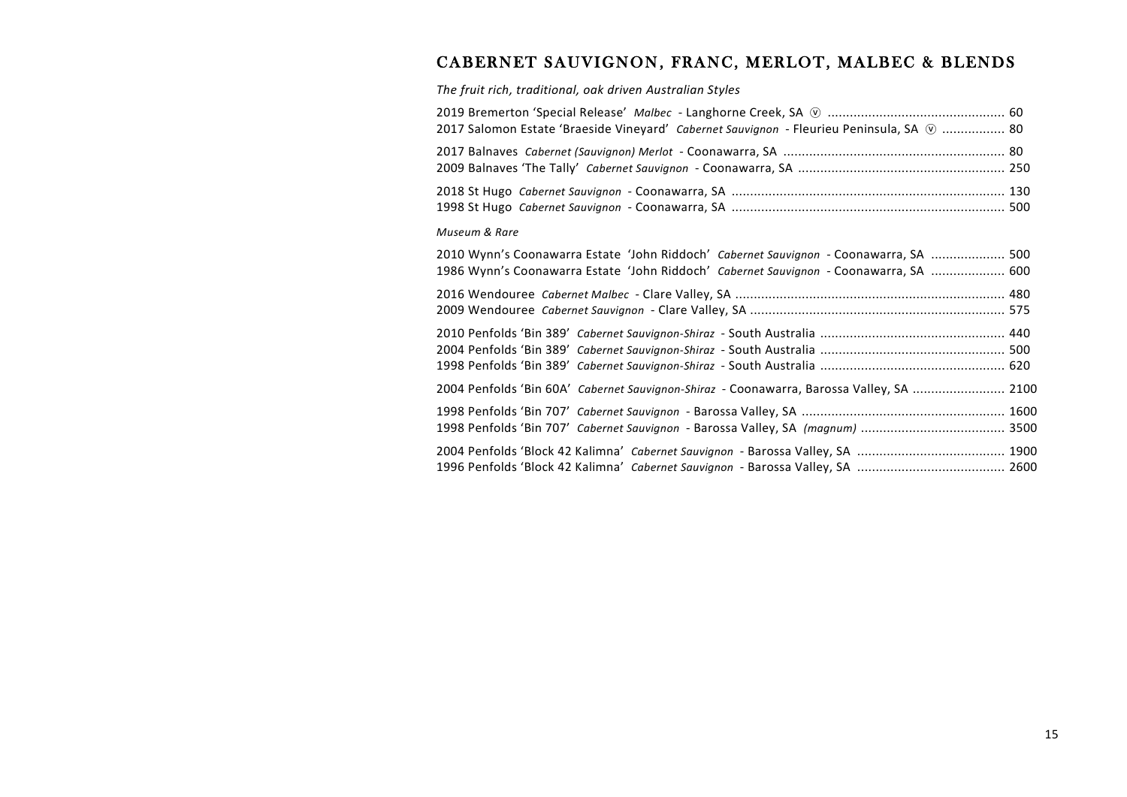# CABERNET SAUVIGNON, FRANC, MERLOT, MALBEC & BLENDS

*The fruit rich, traditional, oak driven Australian Styles*

| 2017 Salomon Estate 'Braeside Vineyard' Cabernet Sauvignon - Fleurieu Peninsula, SA $\oslash$ 80 |  |
|--------------------------------------------------------------------------------------------------|--|
|                                                                                                  |  |
| 2018 St Hugo <i>Cabernet Sauvignon -</i> Coonawarra, SA ……………………………………………………………………………… 130       |  |

#### *Museum & Rare*

| 2010 Wynn's Coonawarra Estate 'John Riddoch' Cabernet Sauvignon - Coonawarra, SA  500<br>1986 Wynn's Coonawarra Estate 'John Riddoch' Cabernet Sauvignon - Coonawarra, SA  600 |  |
|--------------------------------------------------------------------------------------------------------------------------------------------------------------------------------|--|
|                                                                                                                                                                                |  |
|                                                                                                                                                                                |  |
|                                                                                                                                                                                |  |
|                                                                                                                                                                                |  |
| 2004 Penfolds 'Bin 60A' Cabernet Sauvignon-Shiraz - Coonawarra, Barossa Valley, SA  2100                                                                                       |  |
|                                                                                                                                                                                |  |
|                                                                                                                                                                                |  |
|                                                                                                                                                                                |  |
|                                                                                                                                                                                |  |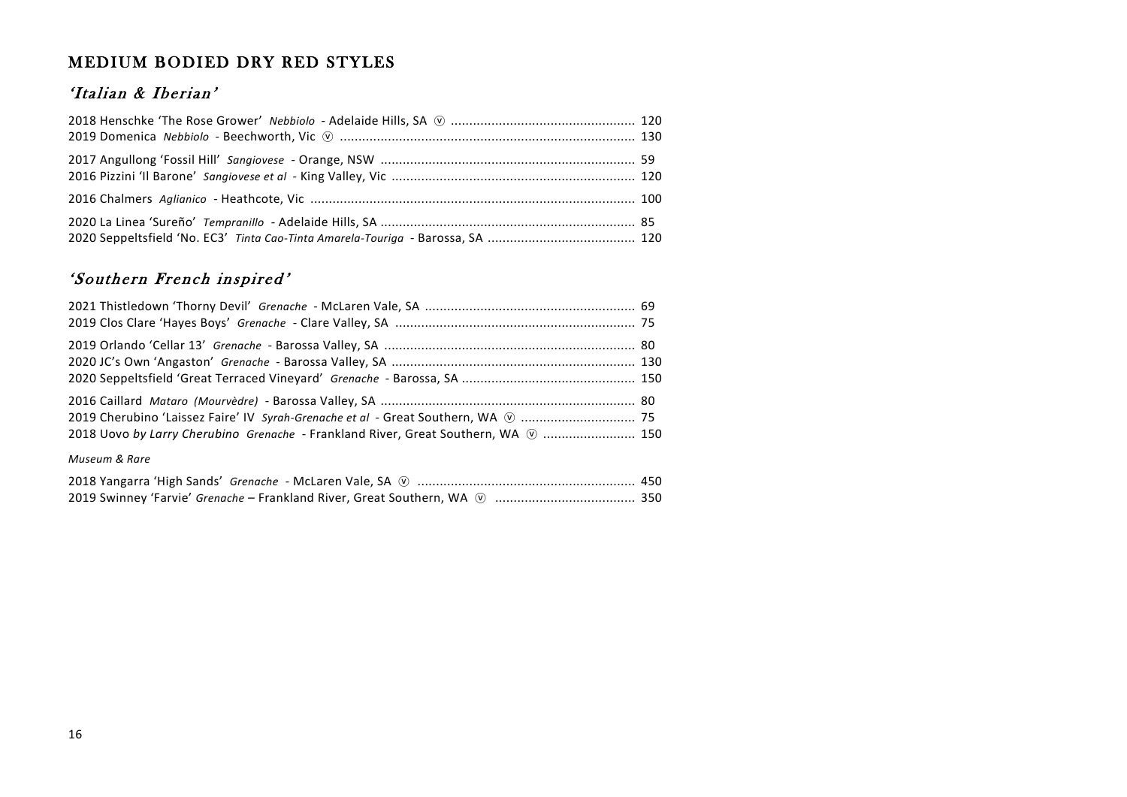# MEDIUM BODIED DRY RED STYLES

# 'Italian & Iberian'

# 'Southern French inspired'

| 2018 Uovo by Larry Cherubino Grenache - Frankland River, Great Southern, WA (  150 |  |
|------------------------------------------------------------------------------------|--|
| Museum & Rare                                                                      |  |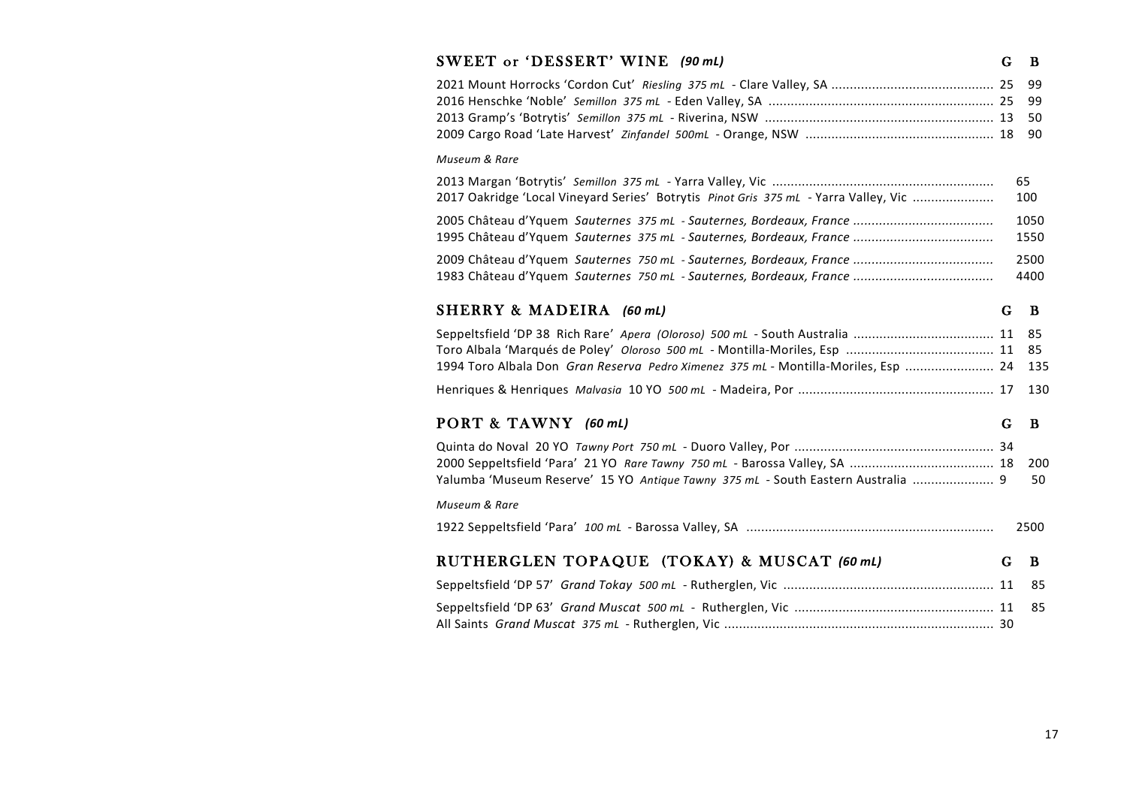| SWEET or 'DESSERT' WINE (90 mL)                                                      | G | B                    |
|--------------------------------------------------------------------------------------|---|----------------------|
|                                                                                      |   | 99<br>99<br>50<br>90 |
| Museum & Rare                                                                        |   |                      |
| 2017 Oakridge 'Local Vineyard Series' Botrytis Pinot Gris 375 mL - Yarra Valley, Vic |   | 65<br>100            |
|                                                                                      |   | 1050<br>1550         |
|                                                                                      |   | 2500<br>4400         |
| SHERRY & MADEIRA (60 mL)                                                             | G | B                    |
| 1994 Toro Albala Don Gran Reserva Pedro Ximenez 375 mL - Montilla-Moriles, Esp  24   |   | 85<br>85<br>135      |
|                                                                                      |   | 130                  |
| PORT & TAWNY (60 mL)                                                                 | G | B                    |
| Yalumba 'Museum Reserve' 15 YO Antique Tawny 375 mL - South Eastern Australia  9     |   | 200<br>50            |
| Museum & Rare                                                                        |   |                      |
|                                                                                      |   | 2500                 |
| RUTHERGLEN TOPAQUE (TOKAY) & MUSCAT (60 mL)                                          | G | B                    |
|                                                                                      |   | 85                   |
|                                                                                      |   | 85                   |